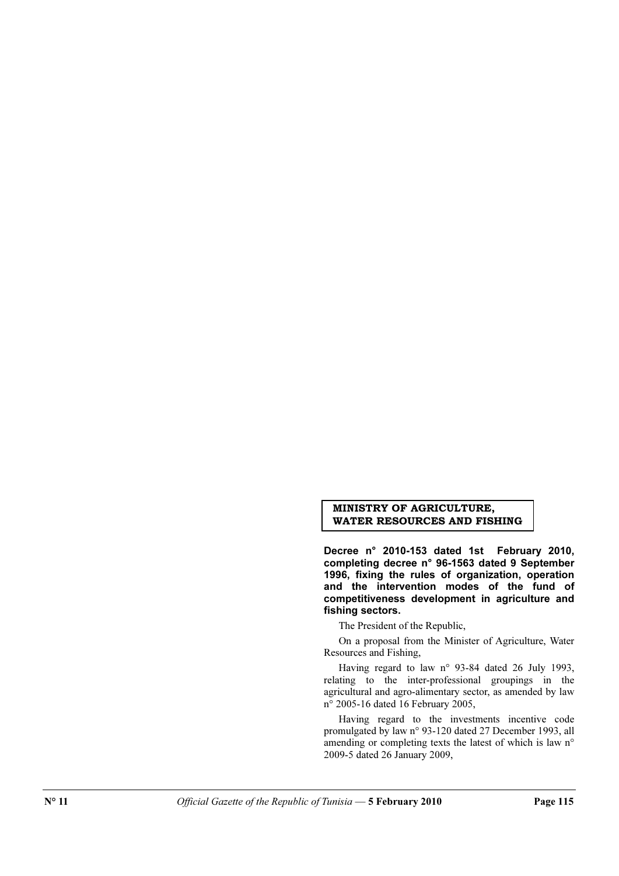## MINISTRY OF AGRICULTURE, WATER RESOURCES AND FISHING

Decree n° 2010-153 dated 1st February 2010, completing decree n° 96-1563 dated 9 September 1996, fixing the rules of organization, operation and the intervention modes of the fund of competitiveness development in agriculture and fishing sectors.

The President of the Republic,

On a proposal from the Minister of Agriculture, Water Resources and Fishing,

Having regard to law n° 93-84 dated 26 July 1993, relating to the inter-professional groupings in the agricultural and agro-alimentary sector, as amended by law n° 2005-16 dated 16 February 2005,

Having regard to the investments incentive code promulgated by law n° 93-120 dated 27 December 1993, all amending or completing texts the latest of which is law n° 2009-5 dated 26 January 2009,